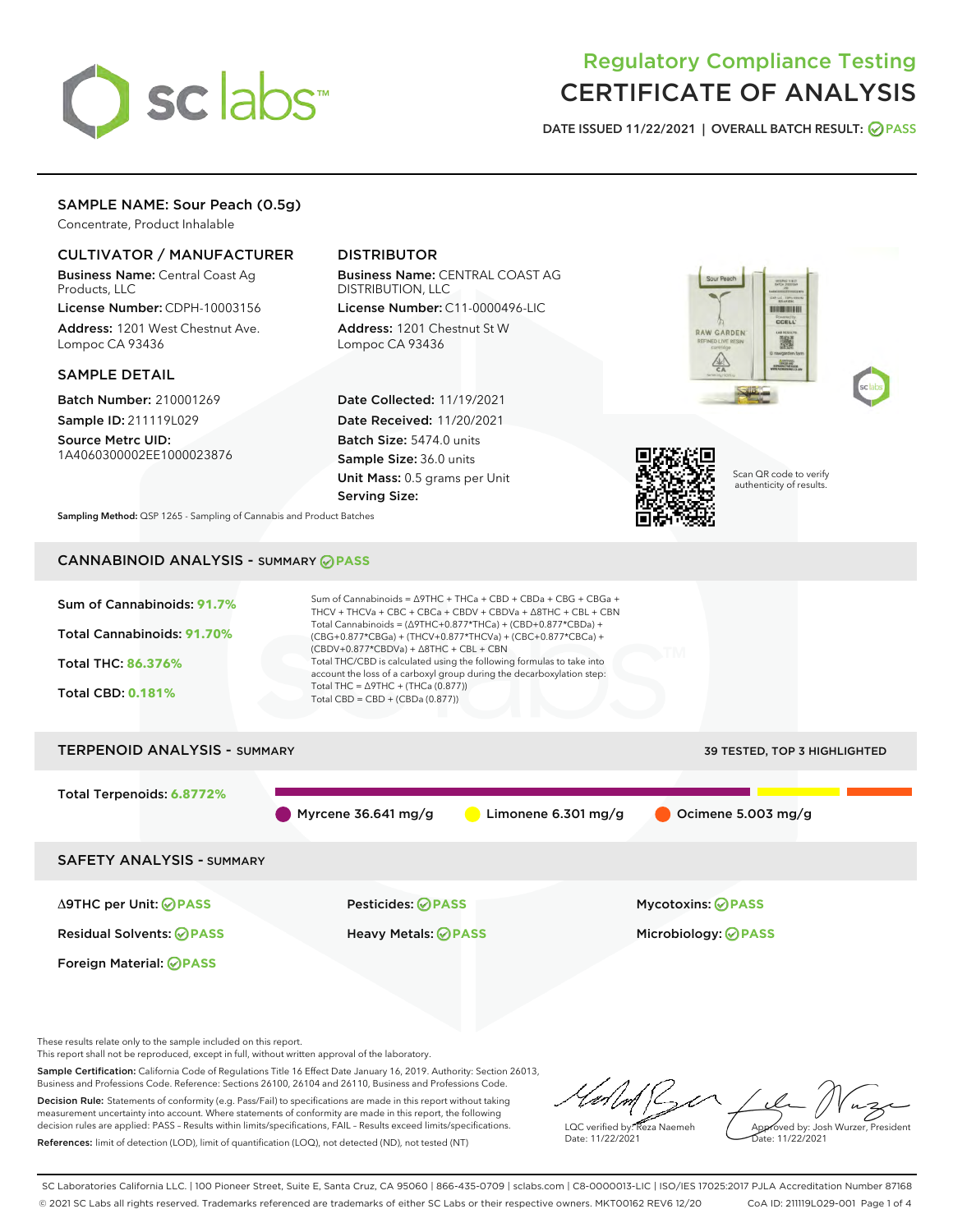

# Regulatory Compliance Testing CERTIFICATE OF ANALYSIS

DATE ISSUED 11/22/2021 | OVERALL BATCH RESULT: @ PASS

## SAMPLE NAME: Sour Peach (0.5g)

Concentrate, Product Inhalable

## CULTIVATOR / MANUFACTURER

Business Name: Central Coast Ag Products, LLC

License Number: CDPH-10003156 Address: 1201 West Chestnut Ave. Lompoc CA 93436

#### SAMPLE DETAIL

Batch Number: 210001269 Sample ID: 211119L029

Source Metrc UID: 1A4060300002EE1000023876

# DISTRIBUTOR

Business Name: CENTRAL COAST AG DISTRIBUTION, LLC

License Number: C11-0000496-LIC Address: 1201 Chestnut St W Lompoc CA 93436

Date Collected: 11/19/2021 Date Received: 11/20/2021 Batch Size: 5474.0 units Sample Size: 36.0 units Unit Mass: 0.5 grams per Unit Serving Size:







Scan QR code to verify authenticity of results.

Sampling Method: QSP 1265 - Sampling of Cannabis and Product Batches

# CANNABINOID ANALYSIS - SUMMARY **PASS**

| Sum of Cannabinoids: 91.7%<br>Total Cannabinoids: 91.70%<br>Total THC: 86.376%<br><b>Total CBD: 0.181%</b> | Sum of Cannabinoids = $\triangle$ 9THC + THCa + CBD + CBDa + CBG + CBGa +<br>THCV + THCVa + CBC + CBCa + CBDV + CBDVa + $\triangle$ 8THC + CBL + CBN<br>Total Cannabinoids = $(\Delta$ 9THC+0.877*THCa) + (CBD+0.877*CBDa) +<br>(CBG+0.877*CBGa) + (THCV+0.877*THCVa) + (CBC+0.877*CBCa) +<br>(CBDV+0.877*CBDVa) + $\triangle$ 8THC + CBL + CBN<br>Total THC/CBD is calculated using the following formulas to take into<br>account the loss of a carboxyl group during the decarboxylation step:<br>Total THC = $\triangle$ 9THC + (THCa (0.877))<br>Total CBD = $CBD + (CBDa (0.877))$ |                                     |
|------------------------------------------------------------------------------------------------------------|------------------------------------------------------------------------------------------------------------------------------------------------------------------------------------------------------------------------------------------------------------------------------------------------------------------------------------------------------------------------------------------------------------------------------------------------------------------------------------------------------------------------------------------------------------------------------------------|-------------------------------------|
| <b>TERPENOID ANALYSIS - SUMMARY</b>                                                                        |                                                                                                                                                                                                                                                                                                                                                                                                                                                                                                                                                                                          | <b>39 TESTED, TOP 3 HIGHLIGHTED</b> |
| Total Terpenoids: 6.8772%                                                                                  | Myrcene 36.641 mg/g<br>Limonene $6.301$ mg/g                                                                                                                                                                                                                                                                                                                                                                                                                                                                                                                                             | Ocimene 5.003 mg/g                  |
| <b>SAFETY ANALYSIS - SUMMARY</b>                                                                           |                                                                                                                                                                                                                                                                                                                                                                                                                                                                                                                                                                                          |                                     |
| ∆9THC per Unit: ⊘PASS                                                                                      | Pesticides: ⊘PASS                                                                                                                                                                                                                                                                                                                                                                                                                                                                                                                                                                        | <b>Mycotoxins: ⊘PASS</b>            |
| <b>Residual Solvents: ØPASS</b>                                                                            | Heavy Metals: <b>OPASS</b>                                                                                                                                                                                                                                                                                                                                                                                                                                                                                                                                                               | Microbiology: <b>OPASS</b>          |
| Foreign Material: <b>⊘ PASS</b>                                                                            |                                                                                                                                                                                                                                                                                                                                                                                                                                                                                                                                                                                          |                                     |

These results relate only to the sample included on this report.

This report shall not be reproduced, except in full, without written approval of the laboratory.

Sample Certification: California Code of Regulations Title 16 Effect Date January 16, 2019. Authority: Section 26013, Business and Professions Code. Reference: Sections 26100, 26104 and 26110, Business and Professions Code. Decision Rule: Statements of conformity (e.g. Pass/Fail) to specifications are made in this report without taking

measurement uncertainty into account. Where statements of conformity are made in this report, the following decision rules are applied: PASS – Results within limits/specifications, FAIL – Results exceed limits/specifications. References: limit of detection (LOD), limit of quantification (LOQ), not detected (ND), not tested (NT)

LQC verified by: Reza Naemeh Date: 11/22/2021 Approved by: Josh Wurzer, President Date: 11/22/2021

SC Laboratories California LLC. | 100 Pioneer Street, Suite E, Santa Cruz, CA 95060 | 866-435-0709 | sclabs.com | C8-0000013-LIC | ISO/IES 17025:2017 PJLA Accreditation Number 87168 © 2021 SC Labs all rights reserved. Trademarks referenced are trademarks of either SC Labs or their respective owners. MKT00162 REV6 12/20 CoA ID: 211119L029-001 Page 1 of 4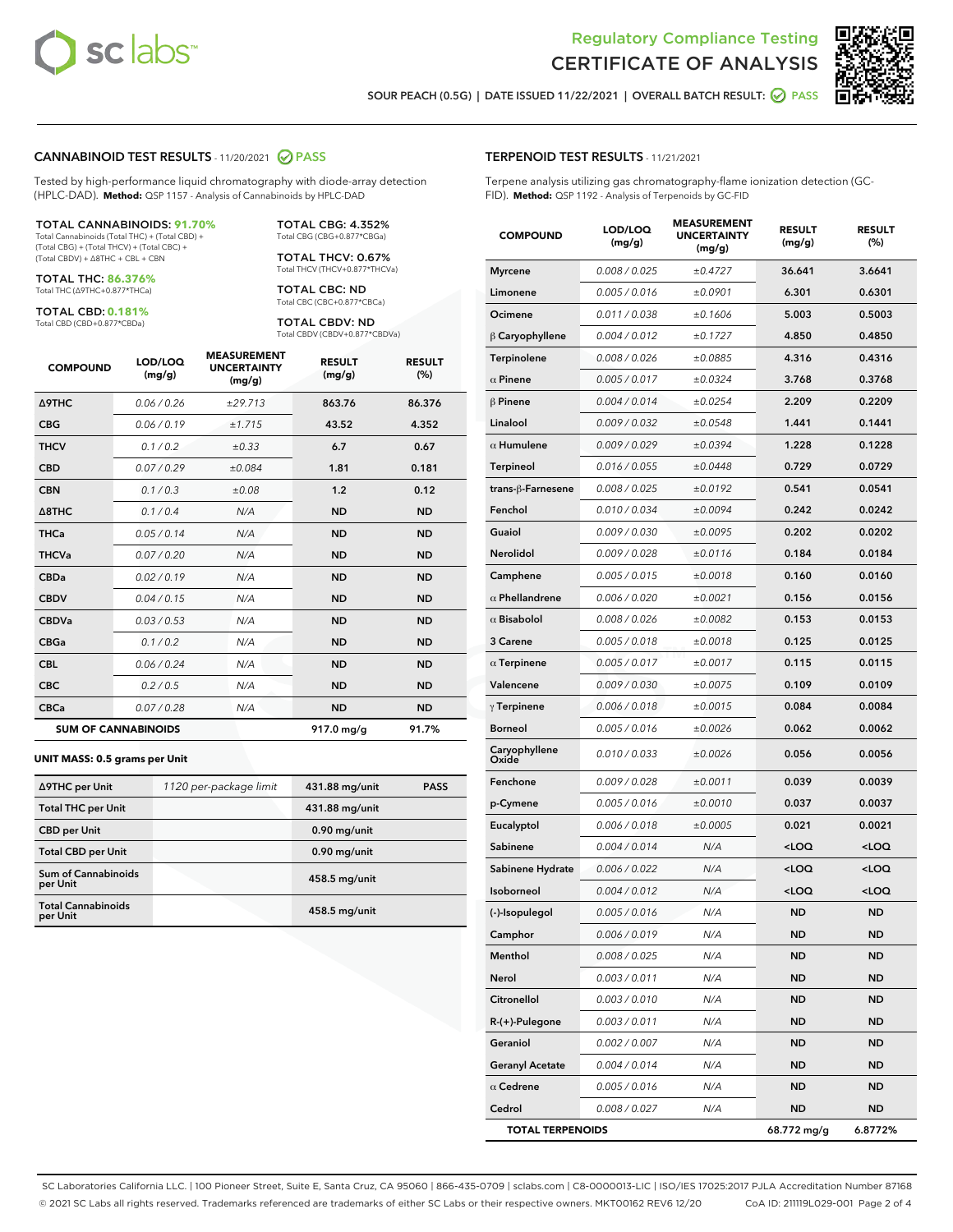



SOUR PEACH (0.5G) | DATE ISSUED 11/22/2021 | OVERALL BATCH RESULT:  $\bigcirc$  PASS

#### CANNABINOID TEST RESULTS - 11/20/2021 2 PASS

Tested by high-performance liquid chromatography with diode-array detection (HPLC-DAD). **Method:** QSP 1157 - Analysis of Cannabinoids by HPLC-DAD

#### TOTAL CANNABINOIDS: **91.70%**

Total Cannabinoids (Total THC) + (Total CBD) + (Total CBG) + (Total THCV) + (Total CBC) + (Total CBDV) + ∆8THC + CBL + CBN

TOTAL THC: **86.376%** Total THC (∆9THC+0.877\*THCa)

TOTAL CBD: **0.181%**

Total CBD (CBD+0.877\*CBDa)

TOTAL CBG: 4.352% Total CBG (CBG+0.877\*CBGa)

TOTAL THCV: 0.67% Total THCV (THCV+0.877\*THCVa)

TOTAL CBC: ND Total CBC (CBC+0.877\*CBCa)

TOTAL CBDV: ND Total CBDV (CBDV+0.877\*CBDVa)

| <b>COMPOUND</b>            | LOD/LOQ<br>(mg/g) | <b>MEASUREMENT</b><br><b>UNCERTAINTY</b><br>(mg/g) | <b>RESULT</b><br>(mg/g) | <b>RESULT</b><br>(%) |
|----------------------------|-------------------|----------------------------------------------------|-------------------------|----------------------|
| Δ9THC                      | 0.06 / 0.26       | ±29.713                                            | 863.76                  | 86.376               |
| <b>CBG</b>                 | 0.06 / 0.19       | ±1.715                                             | 43.52                   | 4.352                |
| <b>THCV</b>                | 0.1 / 0.2         | $\pm 0.33$                                         | 6.7                     | 0.67                 |
| <b>CBD</b>                 | 0.07/0.29         | ±0.084                                             | 1.81                    | 0.181                |
| <b>CBN</b>                 | 0.1/0.3           | ±0.08                                              | 1.2                     | 0.12                 |
| $\triangle$ 8THC           | 0.1/0.4           | N/A                                                | <b>ND</b>               | <b>ND</b>            |
| <b>THCa</b>                | 0.05/0.14         | N/A                                                | <b>ND</b>               | <b>ND</b>            |
| <b>THCVa</b>               | 0.07/0.20         | N/A                                                | <b>ND</b>               | <b>ND</b>            |
| <b>CBDa</b>                | 0.02/0.19         | N/A                                                | <b>ND</b>               | <b>ND</b>            |
| <b>CBDV</b>                | 0.04 / 0.15       | N/A                                                | <b>ND</b>               | <b>ND</b>            |
| <b>CBDVa</b>               | 0.03/0.53         | N/A                                                | <b>ND</b>               | <b>ND</b>            |
| <b>CBGa</b>                | 0.1/0.2           | N/A                                                | <b>ND</b>               | <b>ND</b>            |
| <b>CBL</b>                 | 0.06 / 0.24       | N/A                                                | <b>ND</b>               | <b>ND</b>            |
| <b>CBC</b>                 | 0.2 / 0.5         | N/A                                                | <b>ND</b>               | <b>ND</b>            |
| <b>CBCa</b>                | 0.07/0.28         | N/A                                                | <b>ND</b>               | <b>ND</b>            |
| <b>SUM OF CANNABINOIDS</b> |                   |                                                    | 917.0 mg/g              | 91.7%                |

#### **UNIT MASS: 0.5 grams per Unit**

| ∆9THC per Unit                         | 1120 per-package limit | 431.88 mg/unit  | <b>PASS</b> |
|----------------------------------------|------------------------|-----------------|-------------|
| <b>Total THC per Unit</b>              |                        | 431.88 mg/unit  |             |
| <b>CBD</b> per Unit                    |                        | $0.90$ mg/unit  |             |
| <b>Total CBD per Unit</b>              |                        | $0.90$ mg/unit  |             |
| <b>Sum of Cannabinoids</b><br>per Unit |                        | 458.5 mg/unit   |             |
| <b>Total Cannabinoids</b><br>per Unit  |                        | $458.5$ mg/unit |             |

| <b>COMPOUND</b>         | LOD/LOQ<br>(mg/g) | <b>MEASUREMENT</b><br><b>UNCERTAINTY</b><br>(mg/g) | <b>RESULT</b><br>(mg/g)                         | <b>RESULT</b><br>$(\%)$ |
|-------------------------|-------------------|----------------------------------------------------|-------------------------------------------------|-------------------------|
| <b>Myrcene</b>          | 0.008 / 0.025     | ±0.4727                                            | 36.641                                          | 3.6641                  |
| Limonene                | 0.005 / 0.016     | ±0.0901                                            | 6.301                                           | 0.6301                  |
| Ocimene                 | 0.011 / 0.038     | ±0.1606                                            | 5.003                                           | 0.5003                  |
| $\beta$ Caryophyllene   | 0.004 / 0.012     | ±0.1727                                            | 4.850                                           | 0.4850                  |
| Terpinolene             | 0.008 / 0.026     | ±0.0885                                            | 4.316                                           | 0.4316                  |
| $\alpha$ Pinene         | 0.005 / 0.017     | ±0.0324                                            | 3.768                                           | 0.3768                  |
| $\beta$ Pinene          | 0.004 / 0.014     | ±0.0254                                            | 2.209                                           | 0.2209                  |
| Linalool                | 0.009 / 0.032     | ±0.0548                                            | 1.441                                           | 0.1441                  |
| $\alpha$ Humulene       | 0.009 / 0.029     | ±0.0394                                            | 1.228                                           | 0.1228                  |
| <b>Terpineol</b>        | 0.016 / 0.055     | ±0.0448                                            | 0.729                                           | 0.0729                  |
| trans-β-Farnesene       | 0.008 / 0.025     | ±0.0192                                            | 0.541                                           | 0.0541                  |
| Fenchol                 | 0.010 / 0.034     | ±0.0094                                            | 0.242                                           | 0.0242                  |
| Guaiol                  | 0.009 / 0.030     | ±0.0095                                            | 0.202                                           | 0.0202                  |
| Nerolidol               | 0.009 / 0.028     | ±0.0116                                            | 0.184                                           | 0.0184                  |
| Camphene                | 0.005 / 0.015     | ±0.0018                                            | 0.160                                           | 0.0160                  |
| $\alpha$ Phellandrene   | 0.006 / 0.020     | ±0.0021                                            | 0.156                                           | 0.0156                  |
| $\alpha$ Bisabolol      | 0.008 / 0.026     | ±0.0082                                            | 0.153                                           | 0.0153                  |
| 3 Carene                | 0.005 / 0.018     | ±0.0018                                            | 0.125                                           | 0.0125                  |
| $\alpha$ Terpinene      | 0.005 / 0.017     | ±0.0017                                            | 0.115                                           | 0.0115                  |
| Valencene               | 0.009 / 0.030     | ±0.0075                                            | 0.109                                           | 0.0109                  |
| $\gamma$ Terpinene      | 0.006 / 0.018     | ±0.0015                                            | 0.084                                           | 0.0084                  |
| <b>Borneol</b>          | 0.005 / 0.016     | ±0.0026                                            | 0.062                                           | 0.0062                  |
| Caryophyllene<br>Oxide  | 0.010 / 0.033     | ±0.0026                                            | 0.056                                           | 0.0056                  |
| Fenchone                | 0.009 / 0.028     | ±0.0011                                            | 0.039                                           | 0.0039                  |
| p-Cymene                | 0.005 / 0.016     | ±0.0010                                            | 0.037                                           | 0.0037                  |
| Eucalyptol              | 0.006 / 0.018     | ±0.0005                                            | 0.021                                           | 0.0021                  |
| Sabinene                | 0.004 / 0.014     | N/A                                                | <loq< th=""><th><loq< th=""></loq<></th></loq<> | <loq< th=""></loq<>     |
| Sabinene Hydrate        | 0.006 / 0.022     | N/A                                                | <loq< th=""><th><loq< th=""></loq<></th></loq<> | <loq< th=""></loq<>     |
| Isoborneol              | 0.004 / 0.012     | N/A                                                | <loq< th=""><th><loq< th=""></loq<></th></loq<> | <loq< th=""></loq<>     |
| (-)-Isopulegol          | 0.005 / 0.016     | N/A                                                | <b>ND</b>                                       | <b>ND</b>               |
| Camphor                 | 0.006 / 0.019     | N/A                                                | ND                                              | ND                      |
| Menthol                 | 0.008 / 0.025     | N/A                                                | ND                                              | ND                      |
| Nerol                   | 0.003 / 0.011     | N/A                                                | ND                                              | ND                      |
| Citronellol             | 0.003 / 0.010     | N/A                                                | ND                                              | ND                      |
| R-(+)-Pulegone          | 0.003 / 0.011     | N/A                                                | <b>ND</b>                                       | ND                      |
| Geraniol                | 0.002 / 0.007     | N/A                                                | ND                                              | ND                      |
| <b>Geranyl Acetate</b>  | 0.004 / 0.014     | N/A                                                | ND                                              | ND                      |
| $\alpha$ Cedrene        | 0.005 / 0.016     | N/A                                                | <b>ND</b>                                       | ND                      |
| Cedrol                  | 0.008 / 0.027     | N/A                                                | ND                                              | ND                      |
| <b>TOTAL TERPENOIDS</b> |                   |                                                    | 68.772 mg/g                                     | 6.8772%                 |

SC Laboratories California LLC. | 100 Pioneer Street, Suite E, Santa Cruz, CA 95060 | 866-435-0709 | sclabs.com | C8-0000013-LIC | ISO/IES 17025:2017 PJLA Accreditation Number 87168 © 2021 SC Labs all rights reserved. Trademarks referenced are trademarks of either SC Labs or their respective owners. MKT00162 REV6 12/20 CoA ID: 211119L029-001 Page 2 of 4

# TERPENOID TEST RESULTS - 11/21/2021

Terpene analysis utilizing gas chromatography-flame ionization detection (GC-FID). **Method:** QSP 1192 - Analysis of Terpenoids by GC-FID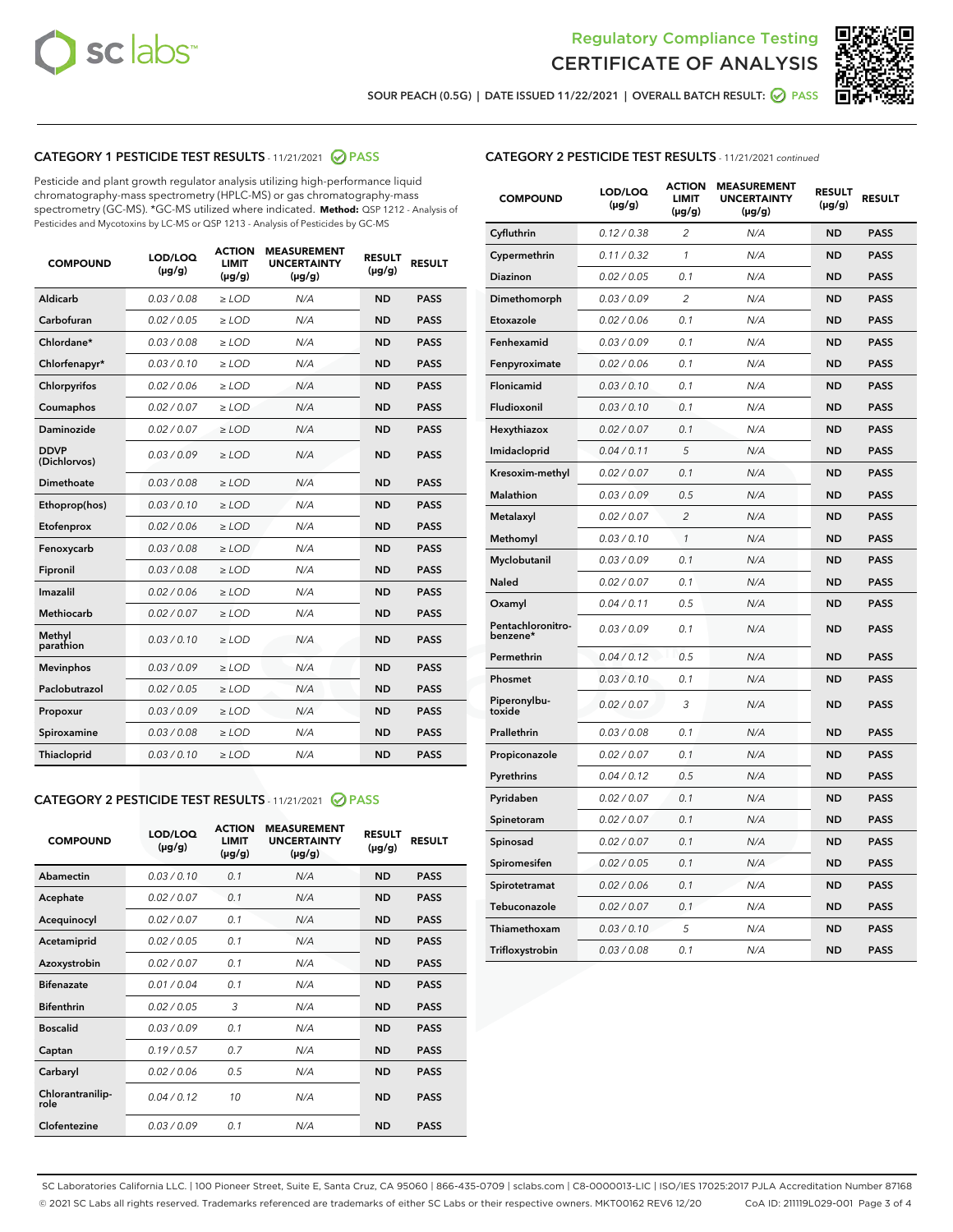



SOUR PEACH (0.5G) | DATE ISSUED 11/22/2021 | OVERALL BATCH RESULT:  $\bigcirc$  PASS

## CATEGORY 1 PESTICIDE TEST RESULTS - 11/21/2021 2 PASS

Pesticide and plant growth regulator analysis utilizing high-performance liquid chromatography-mass spectrometry (HPLC-MS) or gas chromatography-mass spectrometry (GC-MS). \*GC-MS utilized where indicated. **Method:** QSP 1212 - Analysis of Pesticides and Mycotoxins by LC-MS or QSP 1213 - Analysis of Pesticides by GC-MS

| <b>Aldicarb</b><br>0.03 / 0.08<br><b>ND</b><br>$\ge$ LOD<br>N/A<br><b>PASS</b><br>Carbofuran<br>0.02/0.05<br>$\ge$ LOD<br>N/A<br><b>ND</b><br><b>PASS</b><br>Chlordane*<br>0.03 / 0.08<br><b>ND</b><br>$>$ LOD<br>N/A<br><b>PASS</b><br>0.03/0.10<br><b>ND</b><br><b>PASS</b><br>Chlorfenapyr*<br>$\geq$ LOD<br>N/A<br>0.02 / 0.06<br>N/A<br><b>ND</b><br><b>PASS</b><br>Chlorpyrifos<br>$\geq$ LOD<br>0.02 / 0.07<br>N/A<br><b>ND</b><br><b>PASS</b><br>Coumaphos<br>$>$ LOD<br>Daminozide<br>0.02 / 0.07<br>$\ge$ LOD<br>N/A<br><b>ND</b><br><b>PASS</b><br><b>DDVP</b><br>0.03/0.09<br>$\ge$ LOD<br>N/A<br><b>ND</b><br><b>PASS</b><br>(Dichlorvos)<br>Dimethoate<br><b>ND</b><br><b>PASS</b><br>0.03 / 0.08<br>$>$ LOD<br>N/A<br>0.03/0.10<br>Ethoprop(hos)<br>$\ge$ LOD<br>N/A<br><b>ND</b><br><b>PASS</b><br>0.02 / 0.06<br>$\ge$ LOD<br>N/A<br><b>ND</b><br><b>PASS</b><br>Etofenprox<br>Fenoxycarb<br>0.03 / 0.08<br>$>$ LOD<br>N/A<br><b>ND</b><br><b>PASS</b><br>0.03 / 0.08<br><b>ND</b><br><b>PASS</b><br>Fipronil<br>$\ge$ LOD<br>N/A<br>Imazalil<br>0.02 / 0.06<br>$>$ LOD<br>N/A<br><b>ND</b><br><b>PASS</b><br>0.02 / 0.07<br>Methiocarb<br>N/A<br><b>ND</b><br>$>$ LOD<br><b>PASS</b><br>Methyl<br>0.03/0.10<br>$\ge$ LOD<br>N/A<br><b>ND</b><br><b>PASS</b><br>parathion<br>0.03/0.09<br>$\ge$ LOD<br>N/A<br><b>ND</b><br><b>PASS</b><br><b>Mevinphos</b><br>Paclobutrazol<br>0.02 / 0.05<br>$\ge$ LOD<br>N/A<br><b>ND</b><br><b>PASS</b><br>0.03/0.09<br>N/A<br>$\ge$ LOD<br><b>ND</b><br><b>PASS</b><br>Propoxur<br>0.03 / 0.08<br><b>ND</b><br><b>PASS</b><br>Spiroxamine<br>$\ge$ LOD<br>N/A<br><b>PASS</b><br>Thiacloprid<br>0.03/0.10<br>$\ge$ LOD<br>N/A<br><b>ND</b> | <b>COMPOUND</b> | LOD/LOQ<br>$(\mu g/g)$ | <b>ACTION</b><br>LIMIT<br>$(\mu g/g)$ | <b>MEASUREMENT</b><br><b>UNCERTAINTY</b><br>$(\mu g/g)$ | <b>RESULT</b><br>$(\mu g/g)$ | <b>RESULT</b> |
|------------------------------------------------------------------------------------------------------------------------------------------------------------------------------------------------------------------------------------------------------------------------------------------------------------------------------------------------------------------------------------------------------------------------------------------------------------------------------------------------------------------------------------------------------------------------------------------------------------------------------------------------------------------------------------------------------------------------------------------------------------------------------------------------------------------------------------------------------------------------------------------------------------------------------------------------------------------------------------------------------------------------------------------------------------------------------------------------------------------------------------------------------------------------------------------------------------------------------------------------------------------------------------------------------------------------------------------------------------------------------------------------------------------------------------------------------------------------------------------------------------------------------------------------------------------------------------------------------------------------------------------------------------------------------------------------|-----------------|------------------------|---------------------------------------|---------------------------------------------------------|------------------------------|---------------|
|                                                                                                                                                                                                                                                                                                                                                                                                                                                                                                                                                                                                                                                                                                                                                                                                                                                                                                                                                                                                                                                                                                                                                                                                                                                                                                                                                                                                                                                                                                                                                                                                                                                                                                |                 |                        |                                       |                                                         |                              |               |
|                                                                                                                                                                                                                                                                                                                                                                                                                                                                                                                                                                                                                                                                                                                                                                                                                                                                                                                                                                                                                                                                                                                                                                                                                                                                                                                                                                                                                                                                                                                                                                                                                                                                                                |                 |                        |                                       |                                                         |                              |               |
|                                                                                                                                                                                                                                                                                                                                                                                                                                                                                                                                                                                                                                                                                                                                                                                                                                                                                                                                                                                                                                                                                                                                                                                                                                                                                                                                                                                                                                                                                                                                                                                                                                                                                                |                 |                        |                                       |                                                         |                              |               |
|                                                                                                                                                                                                                                                                                                                                                                                                                                                                                                                                                                                                                                                                                                                                                                                                                                                                                                                                                                                                                                                                                                                                                                                                                                                                                                                                                                                                                                                                                                                                                                                                                                                                                                |                 |                        |                                       |                                                         |                              |               |
|                                                                                                                                                                                                                                                                                                                                                                                                                                                                                                                                                                                                                                                                                                                                                                                                                                                                                                                                                                                                                                                                                                                                                                                                                                                                                                                                                                                                                                                                                                                                                                                                                                                                                                |                 |                        |                                       |                                                         |                              |               |
|                                                                                                                                                                                                                                                                                                                                                                                                                                                                                                                                                                                                                                                                                                                                                                                                                                                                                                                                                                                                                                                                                                                                                                                                                                                                                                                                                                                                                                                                                                                                                                                                                                                                                                |                 |                        |                                       |                                                         |                              |               |
|                                                                                                                                                                                                                                                                                                                                                                                                                                                                                                                                                                                                                                                                                                                                                                                                                                                                                                                                                                                                                                                                                                                                                                                                                                                                                                                                                                                                                                                                                                                                                                                                                                                                                                |                 |                        |                                       |                                                         |                              |               |
|                                                                                                                                                                                                                                                                                                                                                                                                                                                                                                                                                                                                                                                                                                                                                                                                                                                                                                                                                                                                                                                                                                                                                                                                                                                                                                                                                                                                                                                                                                                                                                                                                                                                                                |                 |                        |                                       |                                                         |                              |               |
|                                                                                                                                                                                                                                                                                                                                                                                                                                                                                                                                                                                                                                                                                                                                                                                                                                                                                                                                                                                                                                                                                                                                                                                                                                                                                                                                                                                                                                                                                                                                                                                                                                                                                                |                 |                        |                                       |                                                         |                              |               |
|                                                                                                                                                                                                                                                                                                                                                                                                                                                                                                                                                                                                                                                                                                                                                                                                                                                                                                                                                                                                                                                                                                                                                                                                                                                                                                                                                                                                                                                                                                                                                                                                                                                                                                |                 |                        |                                       |                                                         |                              |               |
|                                                                                                                                                                                                                                                                                                                                                                                                                                                                                                                                                                                                                                                                                                                                                                                                                                                                                                                                                                                                                                                                                                                                                                                                                                                                                                                                                                                                                                                                                                                                                                                                                                                                                                |                 |                        |                                       |                                                         |                              |               |
|                                                                                                                                                                                                                                                                                                                                                                                                                                                                                                                                                                                                                                                                                                                                                                                                                                                                                                                                                                                                                                                                                                                                                                                                                                                                                                                                                                                                                                                                                                                                                                                                                                                                                                |                 |                        |                                       |                                                         |                              |               |
|                                                                                                                                                                                                                                                                                                                                                                                                                                                                                                                                                                                                                                                                                                                                                                                                                                                                                                                                                                                                                                                                                                                                                                                                                                                                                                                                                                                                                                                                                                                                                                                                                                                                                                |                 |                        |                                       |                                                         |                              |               |
|                                                                                                                                                                                                                                                                                                                                                                                                                                                                                                                                                                                                                                                                                                                                                                                                                                                                                                                                                                                                                                                                                                                                                                                                                                                                                                                                                                                                                                                                                                                                                                                                                                                                                                |                 |                        |                                       |                                                         |                              |               |
|                                                                                                                                                                                                                                                                                                                                                                                                                                                                                                                                                                                                                                                                                                                                                                                                                                                                                                                                                                                                                                                                                                                                                                                                                                                                                                                                                                                                                                                                                                                                                                                                                                                                                                |                 |                        |                                       |                                                         |                              |               |
|                                                                                                                                                                                                                                                                                                                                                                                                                                                                                                                                                                                                                                                                                                                                                                                                                                                                                                                                                                                                                                                                                                                                                                                                                                                                                                                                                                                                                                                                                                                                                                                                                                                                                                |                 |                        |                                       |                                                         |                              |               |
|                                                                                                                                                                                                                                                                                                                                                                                                                                                                                                                                                                                                                                                                                                                                                                                                                                                                                                                                                                                                                                                                                                                                                                                                                                                                                                                                                                                                                                                                                                                                                                                                                                                                                                |                 |                        |                                       |                                                         |                              |               |
|                                                                                                                                                                                                                                                                                                                                                                                                                                                                                                                                                                                                                                                                                                                                                                                                                                                                                                                                                                                                                                                                                                                                                                                                                                                                                                                                                                                                                                                                                                                                                                                                                                                                                                |                 |                        |                                       |                                                         |                              |               |
|                                                                                                                                                                                                                                                                                                                                                                                                                                                                                                                                                                                                                                                                                                                                                                                                                                                                                                                                                                                                                                                                                                                                                                                                                                                                                                                                                                                                                                                                                                                                                                                                                                                                                                |                 |                        |                                       |                                                         |                              |               |
|                                                                                                                                                                                                                                                                                                                                                                                                                                                                                                                                                                                                                                                                                                                                                                                                                                                                                                                                                                                                                                                                                                                                                                                                                                                                                                                                                                                                                                                                                                                                                                                                                                                                                                |                 |                        |                                       |                                                         |                              |               |
|                                                                                                                                                                                                                                                                                                                                                                                                                                                                                                                                                                                                                                                                                                                                                                                                                                                                                                                                                                                                                                                                                                                                                                                                                                                                                                                                                                                                                                                                                                                                                                                                                                                                                                |                 |                        |                                       |                                                         |                              |               |

#### CATEGORY 2 PESTICIDE TEST RESULTS - 11/21/2021 @ PASS

| <b>COMPOUND</b>          | LOD/LOO<br>$(\mu g/g)$ | <b>ACTION</b><br>LIMIT<br>$(\mu g/g)$ | <b>MEASUREMENT</b><br><b>UNCERTAINTY</b><br>$(\mu g/g)$ | <b>RESULT</b><br>$(\mu g/g)$ | <b>RESULT</b> |  |
|--------------------------|------------------------|---------------------------------------|---------------------------------------------------------|------------------------------|---------------|--|
| Abamectin                | 0.03/0.10              | 0.1                                   | N/A                                                     | <b>ND</b>                    | <b>PASS</b>   |  |
| Acephate                 | 0.02/0.07              | 0.1                                   | N/A                                                     | <b>ND</b>                    | <b>PASS</b>   |  |
| Acequinocyl              | 0.02/0.07              | 0.1                                   | N/A                                                     | <b>ND</b>                    | <b>PASS</b>   |  |
| Acetamiprid              | 0.02/0.05              | 0.1                                   | N/A                                                     | <b>ND</b>                    | <b>PASS</b>   |  |
| Azoxystrobin             | 0.02/0.07              | 0.1                                   | N/A                                                     | <b>ND</b>                    | <b>PASS</b>   |  |
| <b>Bifenazate</b>        | 0.01 / 0.04            | 0.1                                   | N/A                                                     | <b>ND</b>                    | <b>PASS</b>   |  |
| <b>Bifenthrin</b>        | 0.02/0.05              | 3                                     | N/A                                                     | <b>ND</b>                    | <b>PASS</b>   |  |
| <b>Boscalid</b>          | 0.03/0.09              | 0.1                                   | N/A                                                     | <b>ND</b>                    | <b>PASS</b>   |  |
| Captan                   | 0.19/0.57              | 0.7                                   | N/A                                                     | <b>ND</b>                    | <b>PASS</b>   |  |
| Carbaryl                 | 0.02/0.06              | 0.5                                   | N/A                                                     | <b>ND</b>                    | <b>PASS</b>   |  |
| Chlorantranilip-<br>role | 0.04/0.12              | 10                                    | N/A                                                     | <b>ND</b>                    | <b>PASS</b>   |  |
| Clofentezine             | 0.03/0.09              | 0.1                                   | N/A                                                     | <b>ND</b>                    | <b>PASS</b>   |  |

| <b>CATEGORY 2 PESTICIDE TEST RESULTS</b> - 11/21/2021 continued |  |  |
|-----------------------------------------------------------------|--|--|
|                                                                 |  |  |

| <b>COMPOUND</b>               | LOD/LOQ<br>(µg/g) | <b>ACTION</b><br><b>LIMIT</b><br>$(\mu g/g)$ | <b>MEASUREMENT</b><br><b>UNCERTAINTY</b><br>$(\mu g/g)$ | <b>RESULT</b><br>(µg/g) | <b>RESULT</b> |
|-------------------------------|-------------------|----------------------------------------------|---------------------------------------------------------|-------------------------|---------------|
| Cyfluthrin                    | 0.12 / 0.38       | $\overline{c}$                               | N/A                                                     | ND                      | <b>PASS</b>   |
| Cypermethrin                  | 0.11 / 0.32       | $\mathcal{I}$                                | N/A                                                     | ND                      | <b>PASS</b>   |
| <b>Diazinon</b>               | 0.02 / 0.05       | 0.1                                          | N/A                                                     | <b>ND</b>               | <b>PASS</b>   |
| Dimethomorph                  | 0.03 / 0.09       | 2                                            | N/A                                                     | ND                      | <b>PASS</b>   |
| Etoxazole                     | 0.02 / 0.06       | 0.1                                          | N/A                                                     | ND                      | <b>PASS</b>   |
| Fenhexamid                    | 0.03 / 0.09       | 0.1                                          | N/A                                                     | ND                      | <b>PASS</b>   |
| Fenpyroximate                 | 0.02 / 0.06       | 0.1                                          | N/A                                                     | <b>ND</b>               | <b>PASS</b>   |
| Flonicamid                    | 0.03 / 0.10       | 0.1                                          | N/A                                                     | ND                      | <b>PASS</b>   |
| Fludioxonil                   | 0.03 / 0.10       | 0.1                                          | N/A                                                     | ND                      | <b>PASS</b>   |
| Hexythiazox                   | 0.02 / 0.07       | 0.1                                          | N/A                                                     | ND                      | <b>PASS</b>   |
| Imidacloprid                  | 0.04 / 0.11       | 5                                            | N/A                                                     | ND                      | <b>PASS</b>   |
| Kresoxim-methyl               | 0.02 / 0.07       | 0.1                                          | N/A                                                     | ND                      | <b>PASS</b>   |
| <b>Malathion</b>              | 0.03 / 0.09       | 0.5                                          | N/A                                                     | <b>ND</b>               | <b>PASS</b>   |
| Metalaxyl                     | 0.02 / 0.07       | $\overline{c}$                               | N/A                                                     | <b>ND</b>               | <b>PASS</b>   |
| Methomyl                      | 0.03 / 0.10       | $\mathcal{I}$                                | N/A                                                     | <b>ND</b>               | <b>PASS</b>   |
| Myclobutanil                  | 0.03 / 0.09       | 0.1                                          | N/A                                                     | <b>ND</b>               | <b>PASS</b>   |
| Naled                         | 0.02 / 0.07       | 0.1                                          | N/A                                                     | <b>ND</b>               | <b>PASS</b>   |
| Oxamyl                        | 0.04 / 0.11       | 0.5                                          | N/A                                                     | <b>ND</b>               | <b>PASS</b>   |
| Pentachloronitro-<br>benzene* | 0.03 / 0.09       | 0.1                                          | N/A                                                     | <b>ND</b>               | <b>PASS</b>   |
| Permethrin                    | 0.04 / 0.12       | 0.5                                          | N/A                                                     | <b>ND</b>               | <b>PASS</b>   |
| Phosmet                       | 0.03 / 0.10       | 0.1                                          | N/A                                                     | <b>ND</b>               | <b>PASS</b>   |
| Piperonylbu-<br>toxide        | 0.02 / 0.07       | 3                                            | N/A                                                     | <b>ND</b>               | <b>PASS</b>   |
| Prallethrin                   | 0.03 / 0.08       | 0.1                                          | N/A                                                     | ND                      | <b>PASS</b>   |
| Propiconazole                 | 0.02 / 0.07       | 0.1                                          | N/A                                                     | <b>ND</b>               | <b>PASS</b>   |
| Pyrethrins                    | 0.04 / 0.12       | 0.5                                          | N/A                                                     | <b>ND</b>               | <b>PASS</b>   |
| Pyridaben                     | 0.02 / 0.07       | 0.1                                          | N/A                                                     | ND                      | <b>PASS</b>   |
| Spinetoram                    | 0.02 / 0.07       | 0.1                                          | N/A                                                     | <b>ND</b>               | <b>PASS</b>   |
| Spinosad                      | 0.02 / 0.07       | 0.1                                          | N/A                                                     | <b>ND</b>               | <b>PASS</b>   |
| Spiromesifen                  | 0.02 / 0.05       | 0.1                                          | N/A                                                     | ND                      | <b>PASS</b>   |
| Spirotetramat                 | 0.02 / 0.06       | 0.1                                          | N/A                                                     | <b>ND</b>               | <b>PASS</b>   |
| Tebuconazole                  | 0.02 / 0.07       | 0.1                                          | N/A                                                     | ND                      | <b>PASS</b>   |
| Thiamethoxam                  | 0.03 / 0.10       | 5                                            | N/A                                                     | ND                      | <b>PASS</b>   |
| Trifloxystrobin               | 0.03 / 0.08       | 0.1                                          | N/A                                                     | ND                      | <b>PASS</b>   |

SC Laboratories California LLC. | 100 Pioneer Street, Suite E, Santa Cruz, CA 95060 | 866-435-0709 | sclabs.com | C8-0000013-LIC | ISO/IES 17025:2017 PJLA Accreditation Number 87168 © 2021 SC Labs all rights reserved. Trademarks referenced are trademarks of either SC Labs or their respective owners. MKT00162 REV6 12/20 CoA ID: 211119L029-001 Page 3 of 4